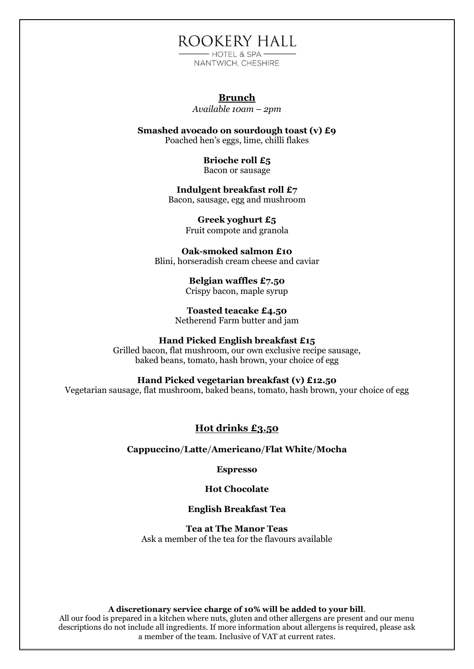ROOKERY HALL

- HOTEL & SPA-NANTWICH, CHESHIRE

## **Brunch**

*Available 10am – 2pm*

**Smashed avocado on sourdough toast (v) £9** Poached hen's eggs, lime, chilli flakes

> **Brioche roll £5** Bacon or sausage

**Indulgent breakfast roll £7** Bacon, sausage, egg and mushroom

> **Greek yoghurt £5** Fruit compote and granola

**Oak-smoked salmon £10** Blini, horseradish cream cheese and caviar

> **Belgian waffles £7.50** Crispy bacon, maple syrup

**Toasted teacake £4.50** Netherend Farm butter and jam

#### **Hand Picked English breakfast £15**

Grilled bacon, flat mushroom, our own exclusive recipe sausage, baked beans, tomato, hash brown, your choice of egg

#### **Hand Picked vegetarian breakfast (v) £12.50**

Vegetarian sausage, flat mushroom, baked beans, tomato, hash brown, your choice of egg

## **Hot drinks £3.50**

**Cappuccino**/**Latte**/**Americano**/**Flat White**/**Mocha**

**Espresso**

**Hot Chocolate**

## **English Breakfast Tea**

**Tea at The Manor Teas** Ask a member of the tea for the flavours available

#### **A discretionary service charge of 10% will be added to your bill**.

All our food is prepared in a kitchen where nuts, gluten and other allergens are present and our menu descriptions do not include all ingredients. If more information about allergens is required, please ask a member of the team. Inclusive of VAT at current rates.